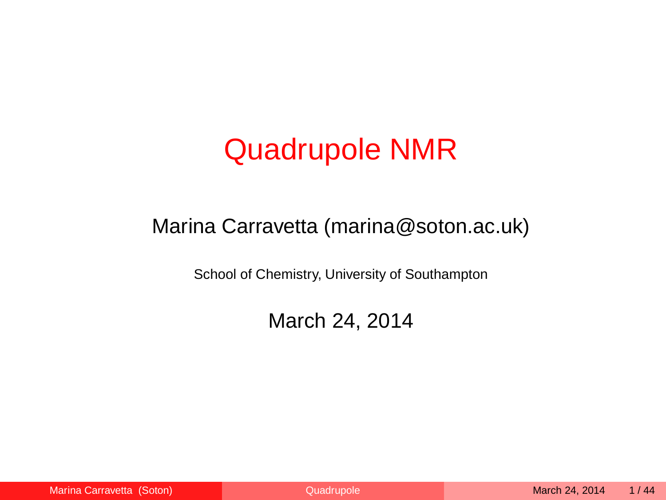### Quadrupole NMR

#### Marina Carravetta (marina@soton.ac.uk)

School of Chemistry, University of Southampton

<span id="page-0-0"></span>March 24, 2014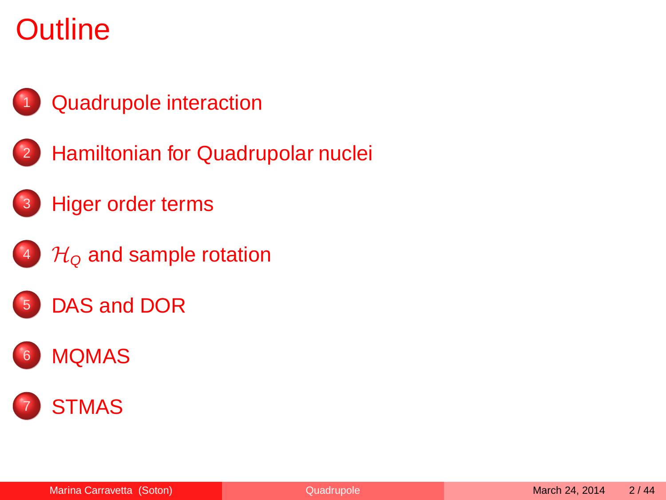### **Outline**



- <sup>2</sup> [Hamiltonian for Quadrupolar nuclei](#page-6-0)
	- **[Higer order terms](#page-15-0)**
- $4\%$  H<sub>Q</sub> [and sample rotation](#page-22-0)
- [DAS and DOR](#page-26-0)



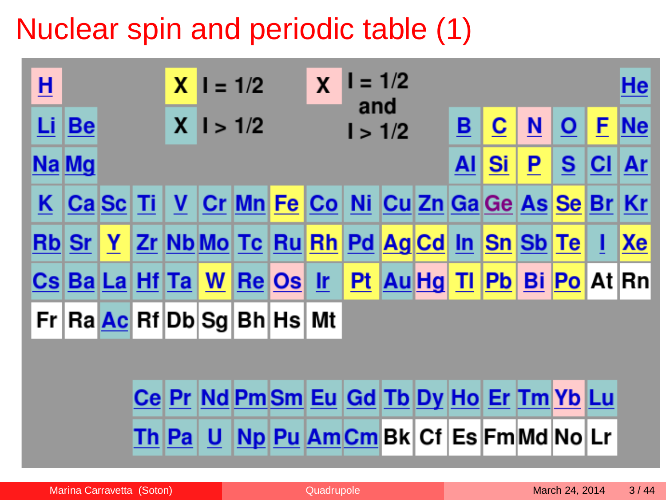### Nuclear spin and periodic table (1)

| <u>អ</u> |       |  | $X = 1/2$ |                                                                          | $\mathbf{x}$ | $I = 1/2$      |  |    |    |                          |              |   | He         |
|----------|-------|--|-----------|--------------------------------------------------------------------------|--------------|----------------|--|----|----|--------------------------|--------------|---|------------|
|          | Li Be |  |           | $X \, 1 > 1/2$                                                           |              | and<br>1 > 1/2 |  | B  | C  | $\underline{\mathsf{N}}$ | $\mathbf{o}$ | F | $\vert$ Ne |
|          | Na Mg |  |           |                                                                          |              |                |  | AI | Si | <u>P</u>                 | S            |   | $ CI $ Ar  |
|          |       |  |           | K Ca Sc Ti V Cr Mn Fe Co Ni Cu Zn Ga Ge As Se Br Kr                      |              |                |  |    |    |                          |              |   |            |
|          |       |  |           | Rb Sr   Y   Zr   Nb Mo   Tc   Ru   Rh   Pd   Ag   Cd   In   Sn   Sb   Te |              |                |  |    |    |                          |              |   | Xe         |
|          |       |  |           | <u>Cs Ba La Hf Ta W Re Os Ir Pt Au Hg Ti Pb Bi Po At Rn</u>              |              |                |  |    |    |                          |              |   |            |
|          |       |  |           | Fr Ra Ac Rf Db Sg Bh Hs Mt                                               |              |                |  |    |    |                          |              |   |            |
|          |       |  |           |                                                                          |              |                |  |    |    |                          |              |   |            |
|          |       |  |           | Ce Pr Nd Pm Sm Eu Gd Tb Dy Ho Er Tm Yb Lu                                |              |                |  |    |    |                          |              |   |            |

Th Pa U Np Pu Am Cm Bk Cf Es Fm Md No Lr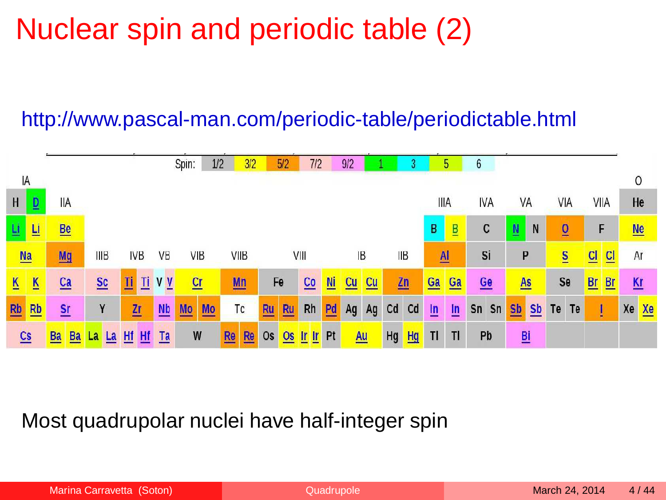### Nuclear spin and periodic table (2)

#### http://www.pascal-man.com/periodic-table/periodictable.html



Most quadrupolar nuclei have half-integer spin

| Marina Carravetta (Soton) |  |
|---------------------------|--|
|                           |  |
|                           |  |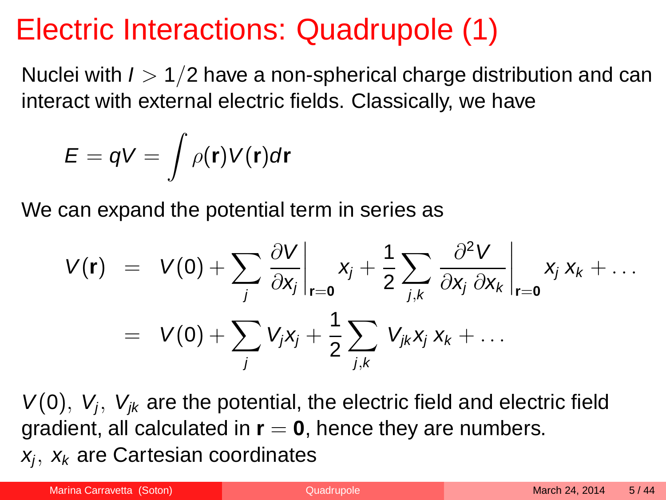### Electric Interactions: Quadrupole (1)

Nuclei with  $I > 1/2$  have a non-spherical charge distribution and can interact with external electric fields. Classically, we have

$$
E = qV = \int \rho(\mathbf{r}) V(\mathbf{r}) d\mathbf{r}
$$

We can expand the potential term in series as

$$
V(\mathbf{r}) = V(0) + \sum_{j} \left. \frac{\partial V}{\partial x_{j}} \right|_{\mathbf{r} = \mathbf{0}} x_{j} + \frac{1}{2} \sum_{j,k} \left. \frac{\partial^{2} V}{\partial x_{j} \partial x_{k}} \right|_{\mathbf{r} = \mathbf{0}} x_{j} x_{k} + \dots
$$
  
=  $V(0) + \sum_{j} V_{j} x_{j} + \frac{1}{2} \sum_{j,k} V_{jk} x_{j} x_{k} + \dots$ 

 $V(0)$ ,  $V_j$ ,  $V_{jk}$  are the potential, the electric field and electric field gradient, all calculated in  $r = 0$ , hence they are numbers.

<span id="page-4-0"></span> $x_j,~x_k$  are Cartesian coordinates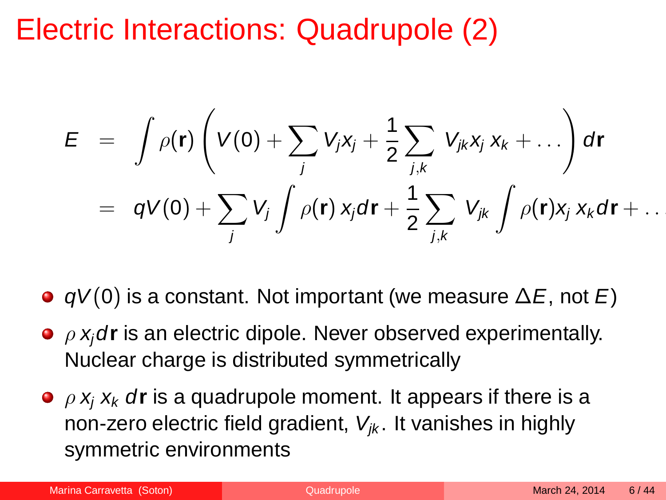### Electric Interactions: Quadrupole (2)

$$
E = \int \rho(\mathbf{r}) \left( V(0) + \sum_j V_j x_j + \frac{1}{2} \sum_{j,k} V_{jk} x_j x_k + \dots \right) d\mathbf{r}
$$
  
=  $qV(0) + \sum_j V_j \int \rho(\mathbf{r}) x_j d\mathbf{r} + \frac{1}{2} \sum_{j,k} V_{jk} \int \rho(\mathbf{r}) x_j x_k d\mathbf{r} + \dots$ 

 $\bullet$  qV(0) is a constant. Not important (we measure  $\Delta E$ , not E)

- ρ xjd**r** is an electric dipole. Never observed experimentally. Nuclear charge is distributed symmetrically
- $\bullet$   $\rho$   $\mathbf{x}_i$   $\mathbf{x}_k$  dr is a quadrupole moment. It appears if there is a non-zero electric field gradient,  $V_{ik}$ . It vanishes in highly symmetric environments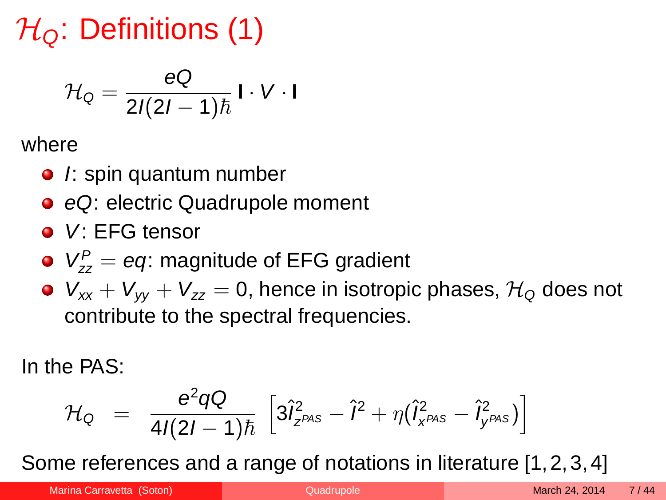$\mathcal{H}_0$ : Definitions (1)

$$
\mathcal{H}_{\mathsf{Q}} = \frac{\mathsf{eQ}}{2I(2I-1)\hbar} \mathsf{I} \cdot \mathsf{V} \cdot \mathsf{I}
$$

where

- $\bullet$  /: spin quantum number
- eQ: electric Quadrupole moment
- V: EFG tensor
- $V_{zz}^P = eq$ : magnitude of EFG gradient
- $V_{xx} + V_{yy} + V_{zz} = 0$ , hence in isotropic phases,  $\mathcal{H}_0$  does not contribute to the spectral frequencies.

In the PAS:

<span id="page-6-0"></span>
$$
{\cal H}_{\rm Q} \;\; = \;\; \frac{e^2 q {\cal Q}}{4I(2I-1)\hbar} \; \left[ 3 \hat{I}_{z}^2{}_{PAS} - \hat{I}^2 + \eta (\hat{I}_{x}^2{}_{PAS} - \hat{I}_{y}^2{}_{PAS}) \right]
$$

Some references and a range of notations in literature [\[1,](#page-41-0)[2,](#page-41-1)[3,](#page-41-2)[4\]](#page-41-3)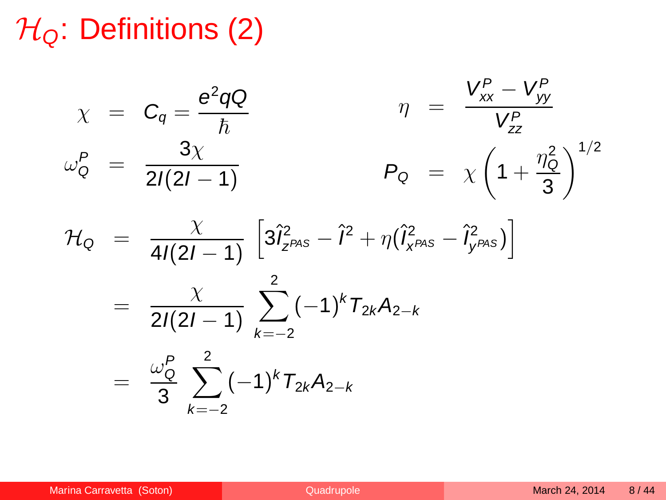### $\mathcal{H}_0$ : Definitions (2)

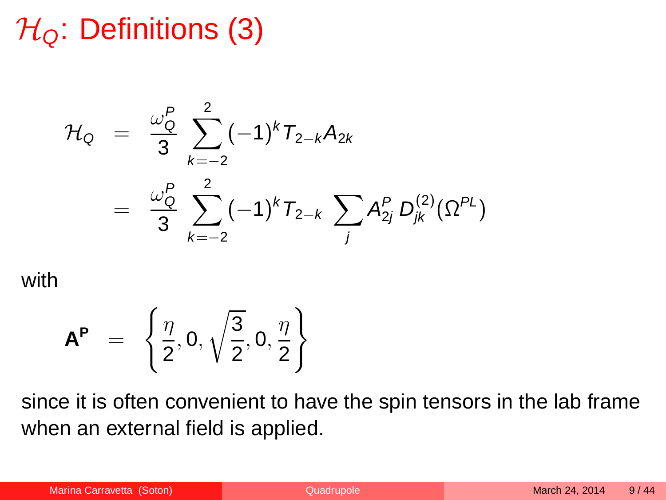### $\mathcal{H}_0$ : Definitions (3)

$$
\mathcal{H}_{Q} = \frac{\omega_{Q}^{P}}{3} \sum_{k=-2}^{2} (-1)^{k} T_{2-k} A_{2k}
$$

$$
= \frac{\omega_{Q}^{P}}{3} \sum_{k=-2}^{2} (-1)^{k} T_{2-k} \sum_{j} A_{2j}^{P} D_{jk}^{(2)}(\Omega^{PL})
$$

with

$$
\mathbf{A}^{\mathbf{P}} = \left\{ \frac{\eta}{2}, 0, \sqrt{\frac{3}{2}}, 0, \frac{\eta}{2} \right\}
$$

since it is often convenient to have the spin tensors in the lab frame when an external field is applied.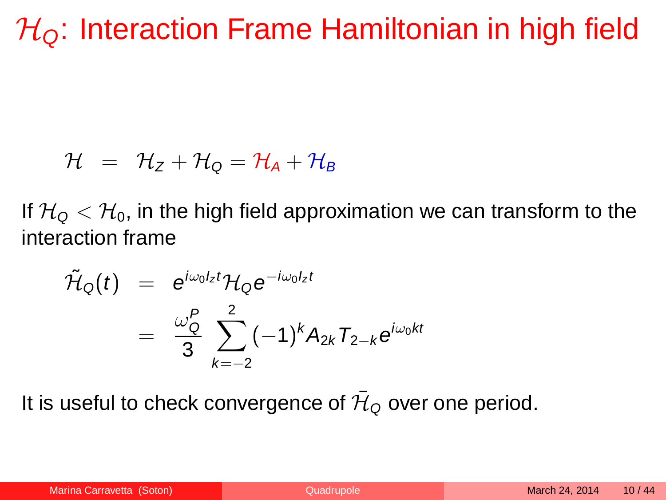### $\mathcal{H}_0$ : Interaction Frame Hamiltonian in high field

$$
\mathcal{H} \;\; = \;\; \mathcal{H}_Z + \mathcal{H}_Q = \mathcal{H}_A + \mathcal{H}_B
$$

If  $H_{\mathsf{Q}} < H_0$ , in the high field approximation we can transform to the interaction frame

$$
\tilde{\mathcal{H}}_{Q}(t) = e^{j\omega_{0}l_{z}t}\mathcal{H}_{Q}e^{-j\omega_{0}l_{z}t}
$$
\n
$$
= \frac{\omega_{Q}^{P}}{3}\sum_{k=-2}^{2}(-1)^{k}A_{2k}T_{2-k}e^{j\omega_{0}kt}
$$

It is useful to check convergence of  $\bar{\mathcal{H}}_{\text{\tiny Q}}$  over one period.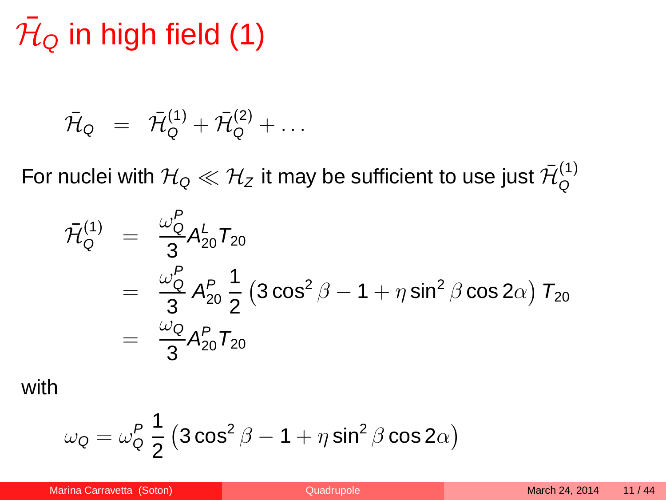# $\bar{\cal H}_\text{\tiny Q}$  in high field (1)

$$
\bar{\mathcal{H}}_{\mathsf{Q}} = \bar{\mathcal{H}}_{\mathsf{Q}}^{(1)} + \bar{\mathcal{H}}_{\mathsf{Q}}^{(2)} + \ldots
$$

For nuclei with  $\mathcal{H}_\textsf{\scriptsize Q} \ll \mathcal{H}_Z$  it may be sufficient to use just  $\bar{\mathcal{H}}_\textsf{\scriptsize Q}^{(1)}$ Q

$$
\bar{\mathcal{H}}_{Q}^{(1)} = \frac{\omega_{Q}^{P}}{3} A_{20}^{L} T_{20}
$$
\n
$$
= \frac{\omega_{Q}^{P}}{3} A_{20}^{P} \frac{1}{2} (3 \cos^{2} \beta - 1 + \eta \sin^{2} \beta \cos 2\alpha) T_{20}
$$
\n
$$
= \frac{\omega_{Q}}{3} A_{20}^{P} T_{20}
$$

with

$$
\omega_{\mathsf{Q}} = \omega_{\mathsf{Q}}^P \frac{1}{2} \left( 3 \cos^2 \beta - 1 + \eta \sin^2 \beta \cos 2\alpha \right)
$$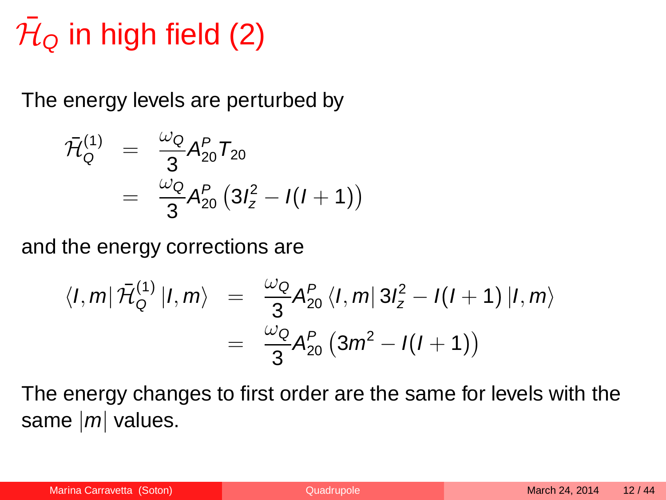# $\bar{\cal H}_\text{\tiny Q}$  in high field (2)

The energy levels are perturbed by

$$
\bar{\mathcal{H}}_{Q}^{(1)} = \frac{\omega_{Q}}{3} A_{20}^{P} T_{20}
$$

$$
= \frac{\omega_{Q}}{3} A_{20}^{P} (3I_{z}^{2} - I(I+1))
$$

and the energy corrections are

$$
\langle I, m | \bar{\mathcal{H}}_{Q}^{(1)} | I, m \rangle = \frac{\omega_{Q}}{3} A_{20}^{P} \langle I, m | 3I_{z}^{2} - I(I+1) | I, m \rangle
$$
  
= 
$$
\frac{\omega_{Q}}{3} A_{20}^{P} (3m^{2} - I(I+1))
$$

The energy changes to first order are the same for levels with the same  $|m|$  values.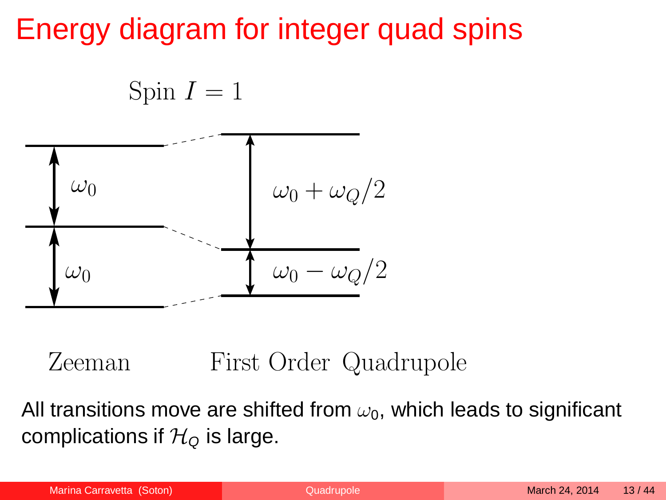### Energy diagram for integer quad spins

$$
Spin\ I=1
$$



Zeeman First Order Quadrupole

All transitions move are shifted from  $\omega_0$ , which leads to significant complications if  $\mathcal{H}_0$  is large.

| Marina Carravetta (Soton) |  |
|---------------------------|--|
|                           |  |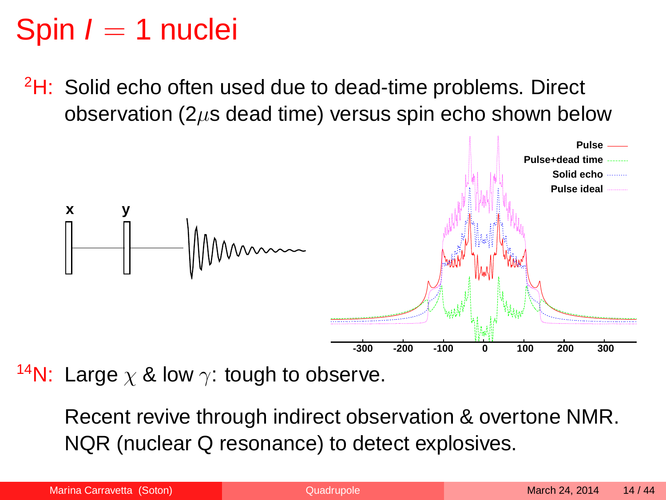### Spin  $I = 1$  nuclei

 $2H$ : Solid echo often used due to dead-time problems. Direct observation ( $2\mu$ s dead time) versus spin echo shown below



<sup>14</sup>N: Large  $\chi$  & low  $\gamma$ : tough to observe.

Recent revive through indirect observation & overtone NMR. NQR (nuclear Q resonance) to detect explosives.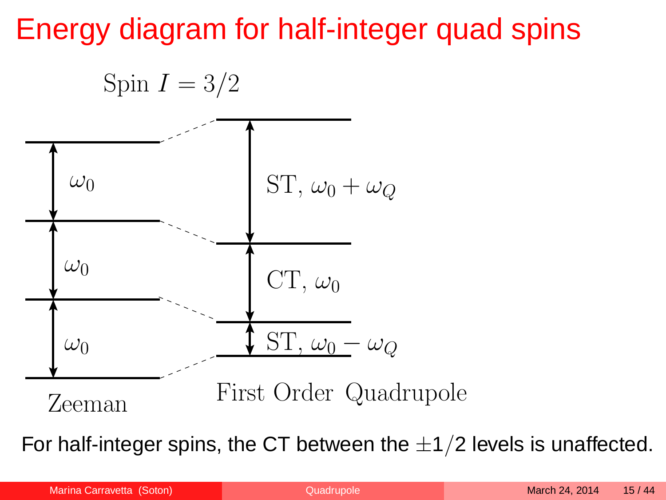### Energy diagram for half-integer quad spins

![](_page_14_Figure_1.jpeg)

For half-integer spins, the CT between the  $\pm 1/2$  levels is unaffected.

Marina Carravetta (Soton) and Duadrupole March 24, 2014 15/44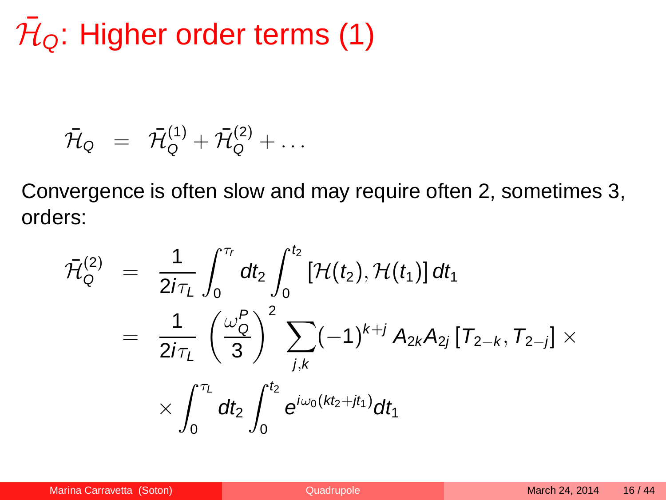# $\bar{\cal H}_\textsf{Q}$ : Higher order terms (1)

$$
\bar{\mathcal{H}}_{\mathsf{Q}} = \bar{\mathcal{H}}_{\mathsf{Q}}^{(1)} + \bar{\mathcal{H}}_{\mathsf{Q}}^{(2)} + \ldots
$$

Convergence is often slow and may require often 2, sometimes 3, orders:

<span id="page-15-0"></span>
$$
\bar{\mathcal{H}}_{Q}^{(2)} = \frac{1}{2i\tau_{L}}\int_{0}^{\tau_{r}}dt_{2}\int_{0}^{t_{2}}\left[\mathcal{H}(t_{2}),\mathcal{H}(t_{1})\right]dt_{1}
$$
\n
$$
= \frac{1}{2i\tau_{L}}\left(\frac{\omega_{Q}^{P}}{3}\right)^{2}\sum_{j,k}(-1)^{k+j}A_{2k}A_{2j}\left[T_{2-k},T_{2-j}\right] \times \times \int_{0}^{\tau_{L}}dt_{2}\int_{0}^{t_{2}}e^{i\omega_{0}(kt_{2}+jt_{1})}dt_{1}
$$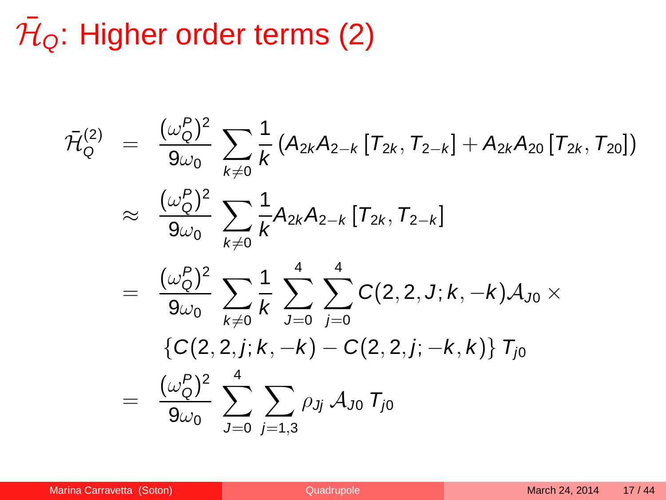# $\bar{\cal H}_\textsf{Q}$ : Higher order terms (2)

$$
\bar{\mathcal{H}}_{Q}^{(2)} = \frac{(\omega_{Q}^{P})^{2}}{9\omega_{0}} \sum_{k\neq 0} \frac{1}{k} (A_{2k}A_{2-k}[T_{2k}, T_{2-k}] + A_{2k}A_{20}[T_{2k}, T_{20}])
$$
\n
$$
\approx \frac{(\omega_{Q}^{P})^{2}}{9\omega_{0}} \sum_{k\neq 0} \frac{1}{k} A_{2k}A_{2-k}[T_{2k}, T_{2-k}]
$$
\n
$$
= \frac{(\omega_{Q}^{P})^{2}}{9\omega_{0}} \sum_{k\neq 0} \frac{1}{k} \sum_{J=0}^{4} \sum_{j=0}^{4} C(2, 2, J; k, -k) A_{J0} \times
$$
\n
$$
\{C(2, 2, j; k, -k) - C(2, 2, j; -k, k)\} T_{j0}
$$
\n
$$
= \frac{(\omega_{Q}^{P})^{2}}{9\omega_{0}} \sum_{J=0}^{4} \sum_{j=1,3} \rho_{Jj} A_{J0} T_{j0}
$$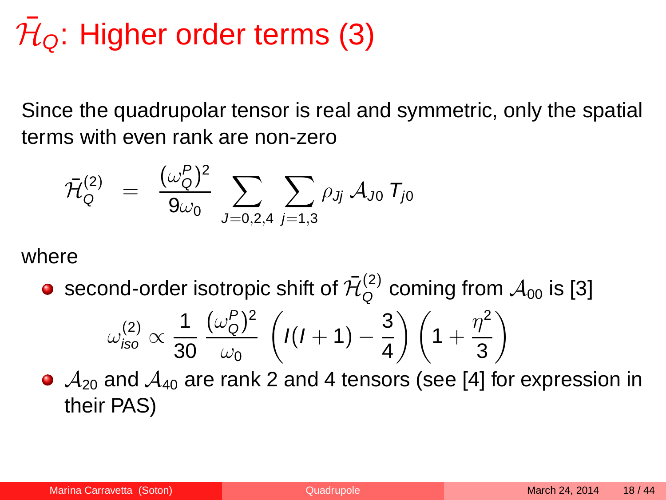# $\bar{\cal H}_\textsf{Q}$ : Higher order terms (3)

Since the quadrupolar tensor is real and symmetric, only the spatial terms with even rank are non-zero

$$
\bar{\cal H}^{(2)}_{\rm Q} \;\; = \;\; \frac{(\omega^P_{\rm Q})^2}{9\omega_0} \; \sum_{J=0,2,4} \, \sum_{j=1,3} \rho_{Jj} \, {\cal A}_{J0} \; {\cal T}_{j0}
$$

where

second-order isotropic shift of  $\bar{\mathcal{H}}_\mathsf{O}^{(2)}$  $Q^{(2)}_{Q}$  coming from  $\mathcal{A}_{00}$  is [\[3\]](#page-41-2)

$$
\omega_{iso}^{(2)} \propto \frac{1}{30} \, \frac{(\omega_Q^P)^2}{\omega_0} \, \left( I(I+1) - \frac{3}{4} \right) \left( 1 + \frac{\eta^2}{3} \right)
$$

 $\bullet$   $\mathcal{A}_{20}$  and  $\mathcal{A}_{40}$  are rank 2 and 4 tensors (see [\[4\]](#page-41-3) for expression in their PAS)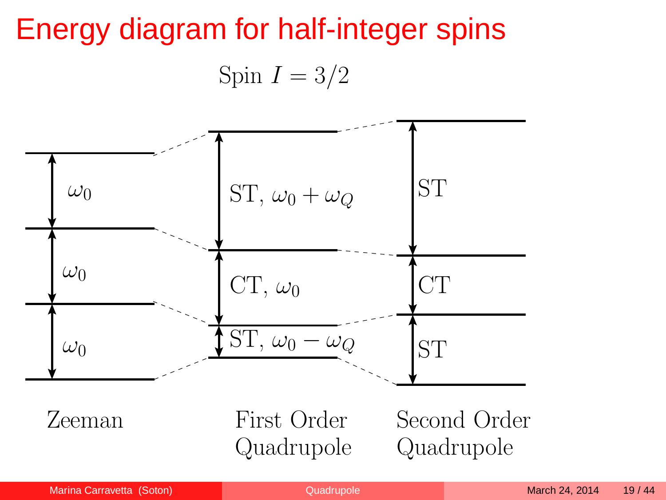## Energy diagram for half-integer spins Spin  $I = 3/2$

![](_page_18_Figure_1.jpeg)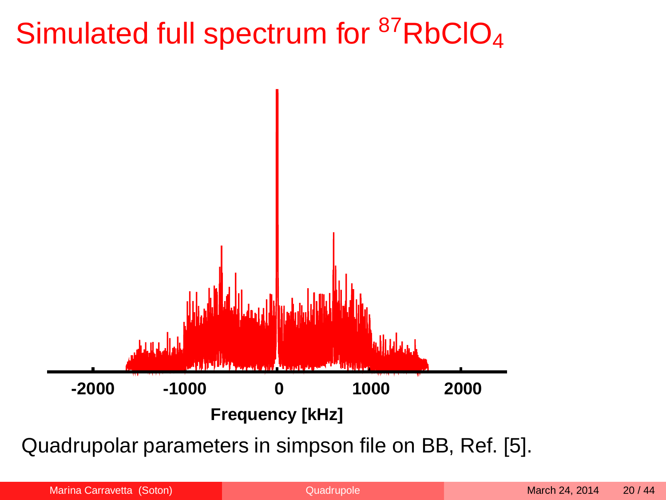### Simulated full spectrum for  ${}^{87}$ RbClO<sub>4</sub>

![](_page_19_Figure_1.jpeg)

Quadrupolar parameters in simpson file on BB, Ref. [\[5\]](#page-41-4).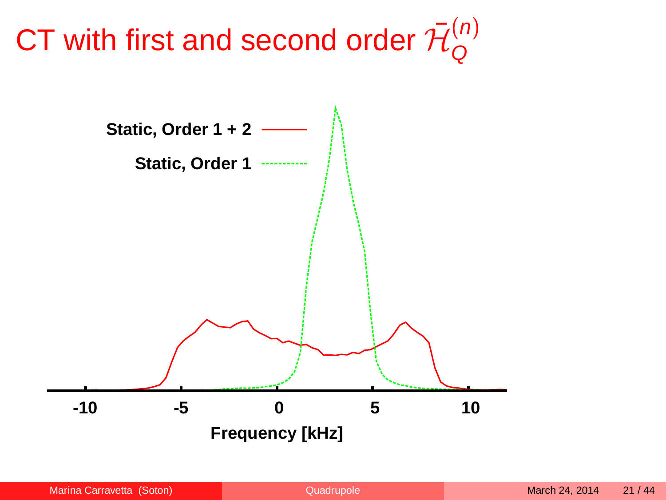#### CT with first and second order  $\bar{\cal H}^{(n)}_{\sf Q}$ Q

![](_page_20_Figure_1.jpeg)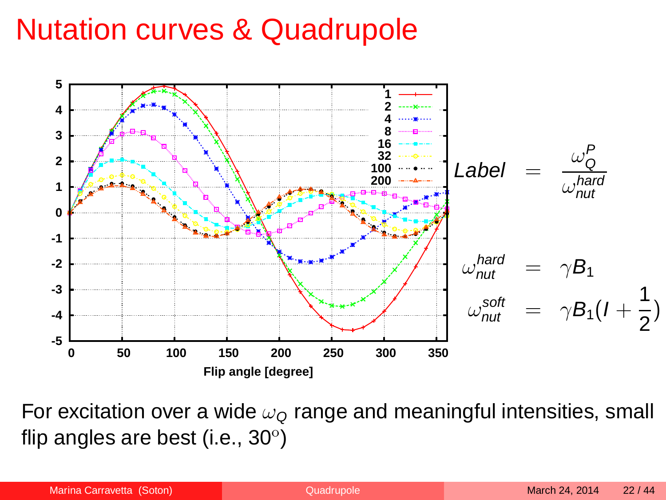### Nutation curves & Quadrupole

![](_page_21_Figure_1.jpeg)

For excitation over a wide  $\omega_{\mathcal{Q}}$  range and meaningful intensities, small flip angles are best (i.e.,  $30^{\circ}$ )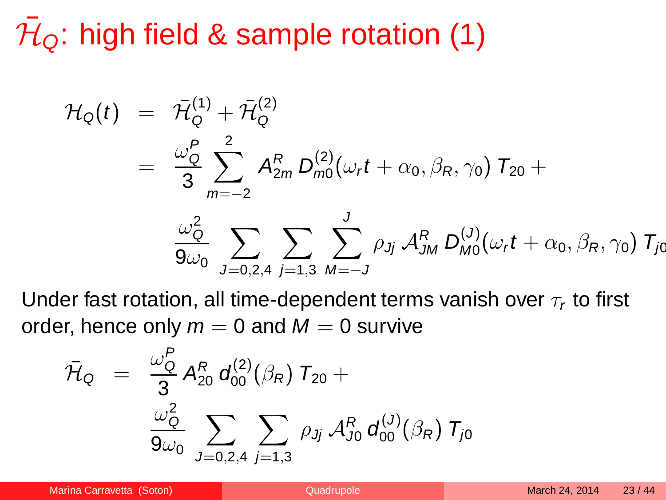$\bar{\mathcal{H}}_{\mathsf{Q}}$ : high field & sample rotation (1)

$$
\mathcal{H}_{Q}(t) = \bar{\mathcal{H}}_{Q}^{(1)} + \bar{\mathcal{H}}_{Q}^{(2)}
$$
\n
$$
= \frac{\omega_{Q}^{P}}{3} \sum_{m=-2}^{2} A_{2m}^{R} D_{mQ}^{(2)}(\omega_{r} t + \alpha_{0}, \beta_{R}, \gamma_{0}) T_{20} + \frac{\omega_{Q}^{2}}{9\omega_{0}} \sum_{J=0,2,4} \sum_{j=1,3} \sum_{M=-J}^{J} \rho_{Jj} \mathcal{A}_{JM}^{R} D_{MQ}^{(J)}(\omega_{r} t + \alpha_{0}, \beta_{R}, \gamma_{0}) T_{JQ}
$$

Under fast rotation, all time-dependent terms vanish over  $\tau_r$  to first order, hence only  $m = 0$  and  $M = 0$  survive

<span id="page-22-0"></span>
$$
\bar{\mathcal{H}}_{\text{Q}} = \frac{\omega_{\text{Q}}^P}{3} A_{20}^R d_{00}^{(2)}(\beta_R) T_{20} + \frac{\omega_{\text{Q}}^2}{9\omega_0} \sum_{J=0,2,4} \sum_{j=1,3} \rho_{Jj} A_{J0}^R d_{00}^{(J)}(\beta_R) T_{j0}
$$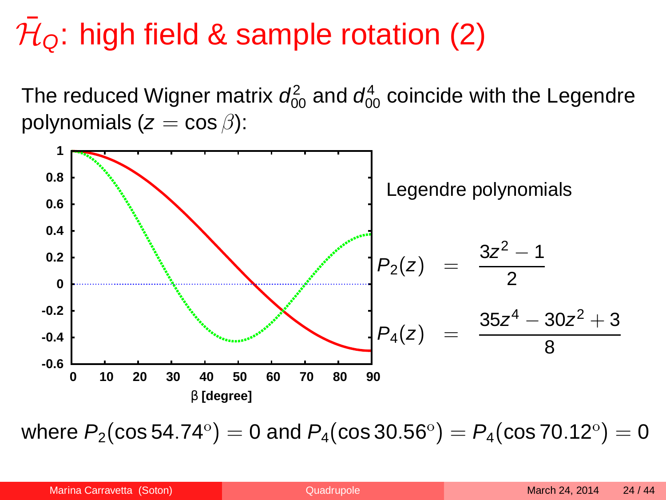# $\bar{\mathcal{H}}_{\mathsf{Q}}$ : high field & sample rotation (2)

The reduced Wigner matrix  $d_{00}^2$  and  $d_{00}^4$  coincide with the Legendre polynomials ( $z = \cos \beta$ ):

![](_page_23_Figure_2.jpeg)

where  $P_2(\cos 54.74^\circ)=0$  and  $P_4(\cos 30.56^\circ)=P_4(\cos 70.12^\circ)=0$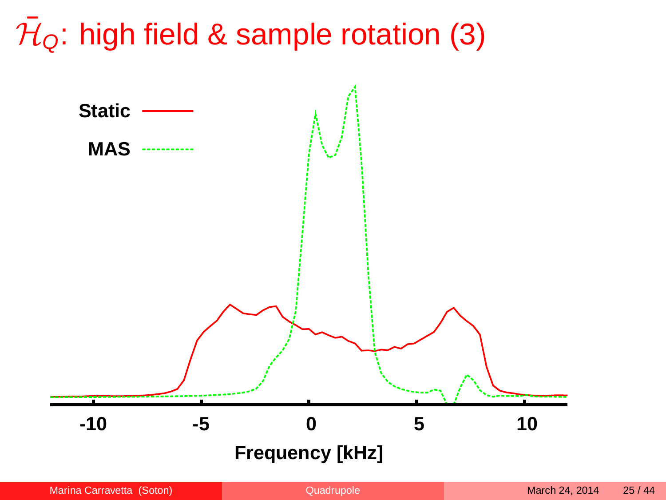# $\bar{\mathcal{H}}_{\mathsf{Q}}$ : high field & sample rotation (3)

![](_page_24_Figure_1.jpeg)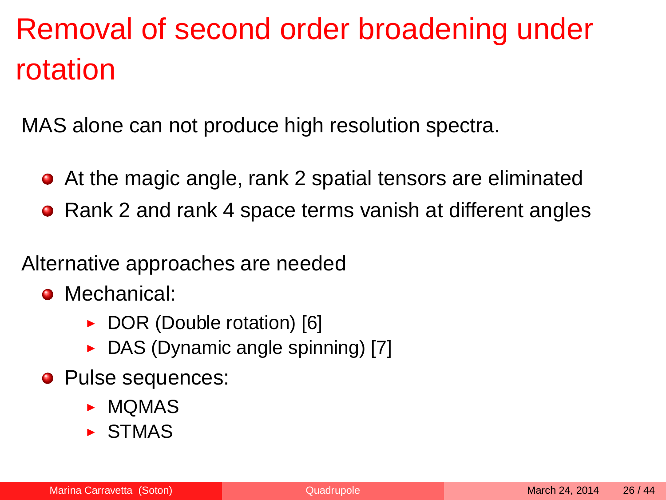## Removal of second order broadening under rotation

MAS alone can not produce high resolution spectra.

- At the magic angle, rank 2 spatial tensors are eliminated
- Rank 2 and rank 4 space terms vanish at different angles

Alternative approaches are needed

- Mechanical:
	- ▶ DOR (Double rotation) [\[6\]](#page-41-5)
	- ► DAS (Dynamic angle spinning) [\[7\]](#page-41-6)
- Pulse sequences:
	- $\blacktriangleright$  MOMAS
	- $\triangleright$  STMAS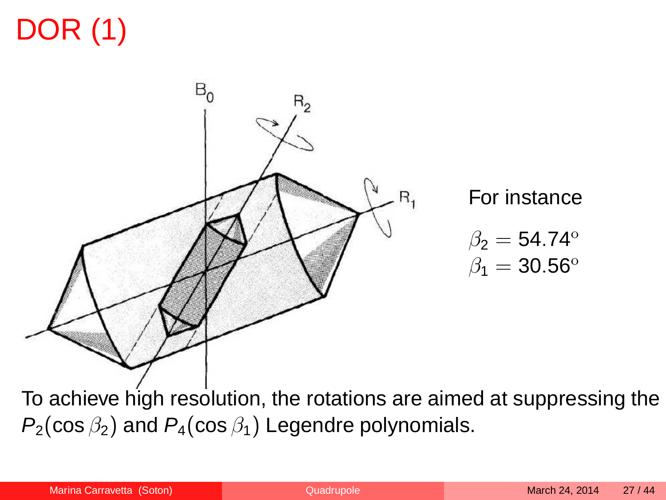## DOR (1)

![](_page_26_Picture_1.jpeg)

For instance

<span id="page-26-0"></span>
$$
\begin{array}{c} \beta_2=54.74^{\mathrm{o}} \\ \beta_1=30.56^{\mathrm{o}} \end{array}
$$

To achieve high resolution, the rotations are aimed at suppressing the  $P_2(\cos \beta_2)$  and  $P_4(\cos \beta_1)$  Legendre polynomials.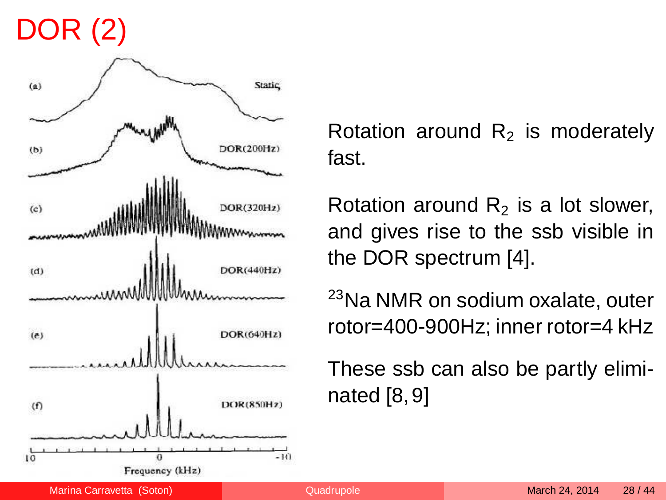## DOR (2)

![](_page_27_Figure_1.jpeg)

Rotation around  $R<sub>2</sub>$  is moderately fast.

Rotation around  $R<sub>2</sub>$  is a lot slower, and gives rise to the ssb visible in the DOR spectrum [\[4\]](#page-41-3).

<sup>23</sup>Na NMR on sodium oxalate, outer rotor=400-900Hz; inner rotor=4 kHz

These ssb can also be partly eliminated [\[8,](#page-41-7)[9\]](#page-42-0)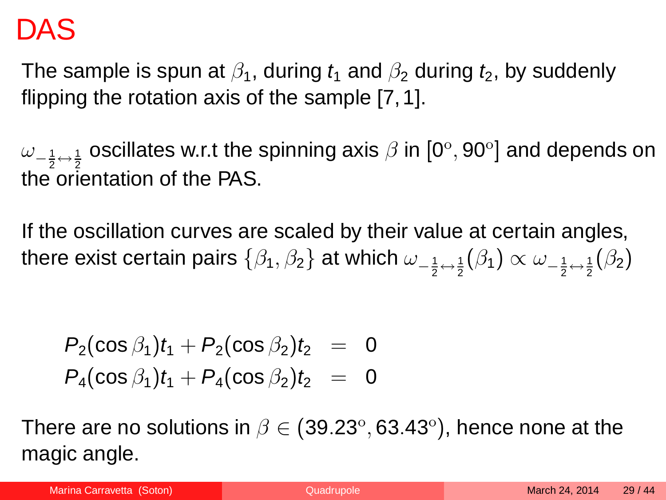#### DAS

The sample is spun at  $\beta_1$ , during  $t_1$  and  $\beta_2$  during  $t_2$ , by suddenly flipping the rotation axis of the sample [\[7,](#page-41-6)[1\]](#page-41-0).

 $\omega_{-\frac{1}{2}\leftrightarrow\frac{1}{2}}$  oscillates w.r.t the spinning axis  $\beta$  in  $[0^\circ, 90^\circ]$  and depends on the orientation of the PAS.

If the oscillation curves are scaled by their value at certain angles, there exist certain pairs  $\{\beta_1,\beta_2\}$  at which  $\omega_{-\frac{1}{2}\leftrightarrow\frac{1}{2}}(\beta_1)\propto \omega_{-\frac{1}{2}\leftrightarrow\frac{1}{2}}(\beta_2)$ 

$$
P_2(\cos \beta_1)t_1 + P_2(\cos \beta_2)t_2 = 0
$$
  

$$
P_4(\cos \beta_1)t_1 + P_4(\cos \beta_2)t_2 = 0
$$

There are no solutions in  $\beta \in (39.23^\circ, 63.43^\circ),$  hence none at the magic angle.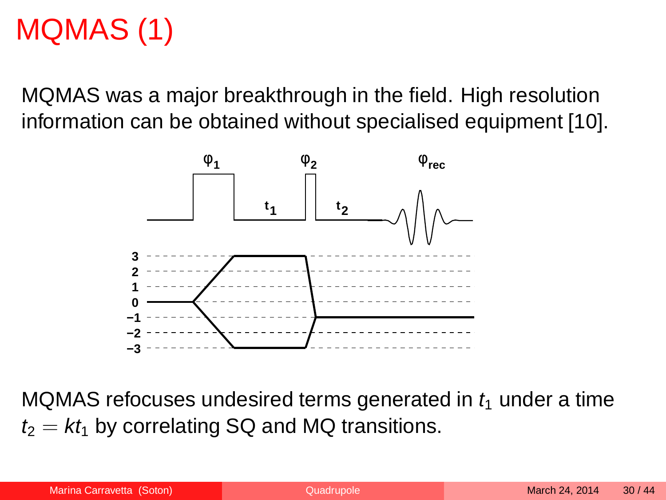### MQMAS (1)

MQMAS was a major breakthrough in the field. High resolution information can be obtained without specialised equipment [\[10\]](#page-42-1).

![](_page_29_Figure_2.jpeg)

<span id="page-29-0"></span>MQMAS refocuses undesired terms generated in  $t_1$  under a time  $t_2 = kt_1$  by correlating SQ and MQ transitions.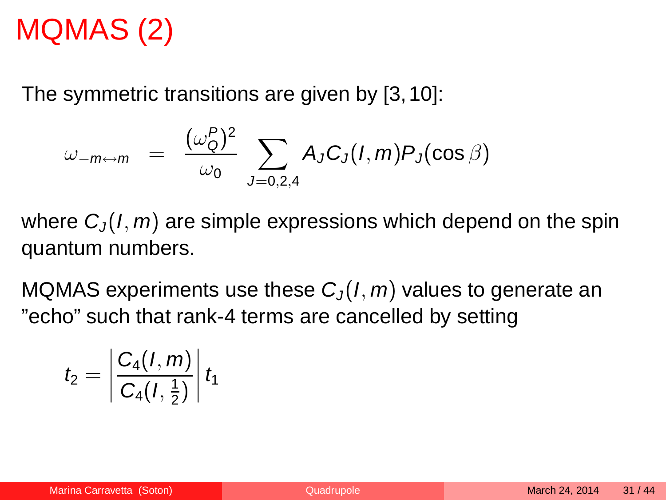### MQMAS (2)

The symmetric transitions are given by [\[3,](#page-41-2)[10\]](#page-42-1):

$$
\omega_{-m\leftrightarrow m} = \frac{(\omega_{\mathcal{Q}}^P)^2}{\omega_0} \sum_{J=0,2,4} A_J C_J(I,m) P_J(\cos \beta)
$$

where  $C_1(I, m)$  are simple expressions which depend on the spin quantum numbers.

MQMAS experiments use these  $C_J(I, m)$  values to generate an "echo" such that rank-4 terms are cancelled by setting

$$
t_2=\left|\frac{C_4(I,m)}{C_4(I,\frac{1}{2})}\right|t_1
$$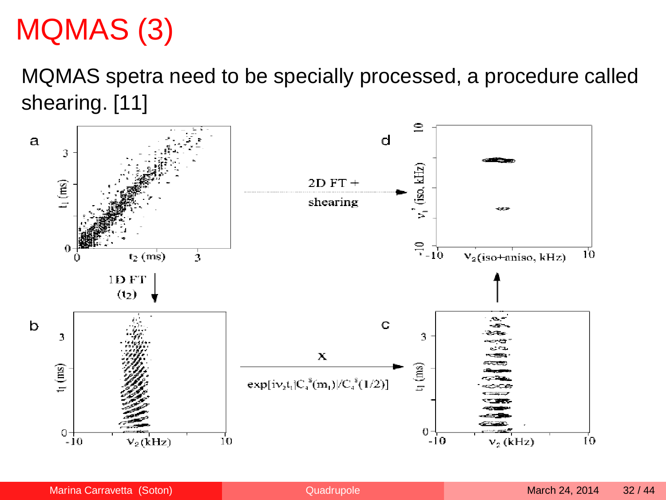### MQMAS (3)

MQMAS spetra need to be specially processed, a procedure called shearing. [\[11\]](#page-42-2)

![](_page_31_Figure_2.jpeg)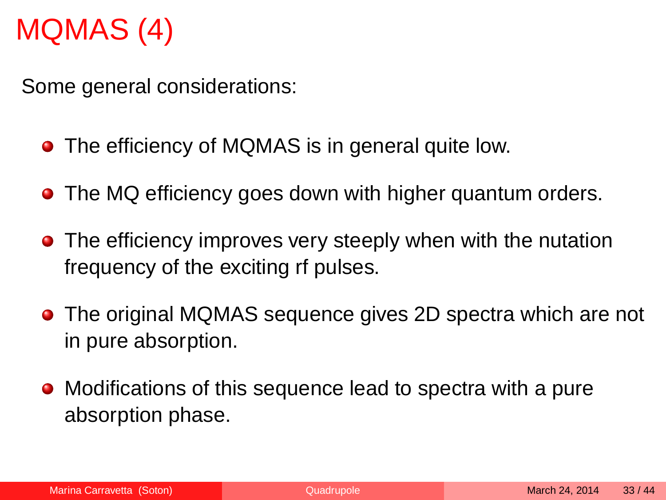### MQMAS (4)

Some general considerations:

- The efficiency of MQMAS is in general quite low.
- The MQ efficiency goes down with higher quantum orders.
- The efficiency improves very steeply when with the nutation frequency of the exciting rf pulses.
- The original MQMAS sequence gives 2D spectra which are not in pure absorption.
- Modifications of this sequence lead to spectra with a pure absorption phase.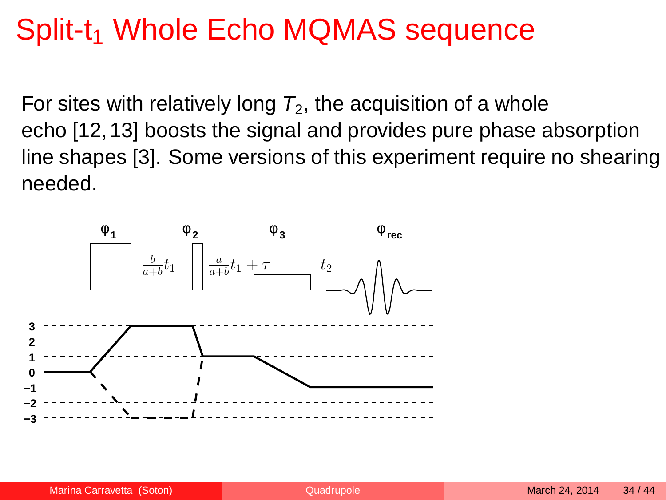### Split-t<sub>1</sub> Whole Echo MQMAS sequence

For sites with relatively long  $T_2$ , the acquisition of a whole echo [\[12,](#page-42-3)[13\]](#page-42-4) boosts the signal and provides pure phase absorption line shapes [\[3\]](#page-41-2). Some versions of this experiment require no shearing needed.

![](_page_33_Figure_2.jpeg)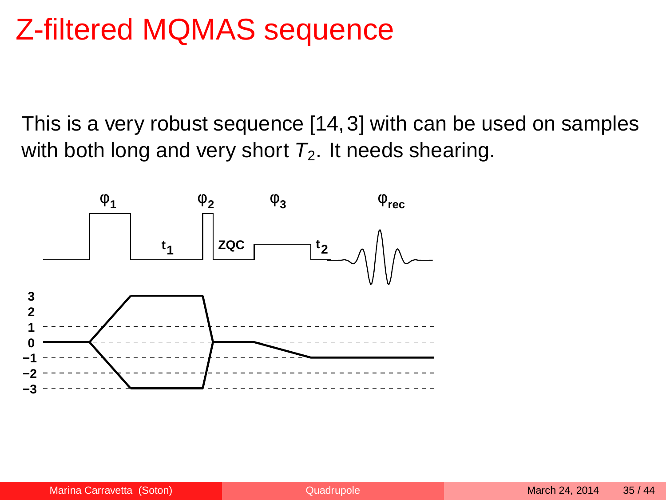### Z-filtered MQMAS sequence

This is a very robust sequence [\[14,](#page-42-5)[3\]](#page-41-2) with can be used on samples with both long and very short  $T_2$ . It needs shearing.

![](_page_34_Figure_2.jpeg)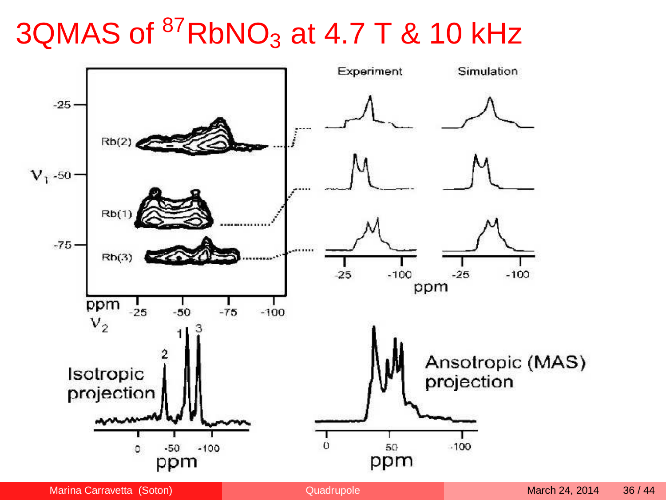## 3QMAS of  ${}^{87}$ RbNO<sub>3</sub> at 4.7 T & 10 kHz

![](_page_35_Figure_1.jpeg)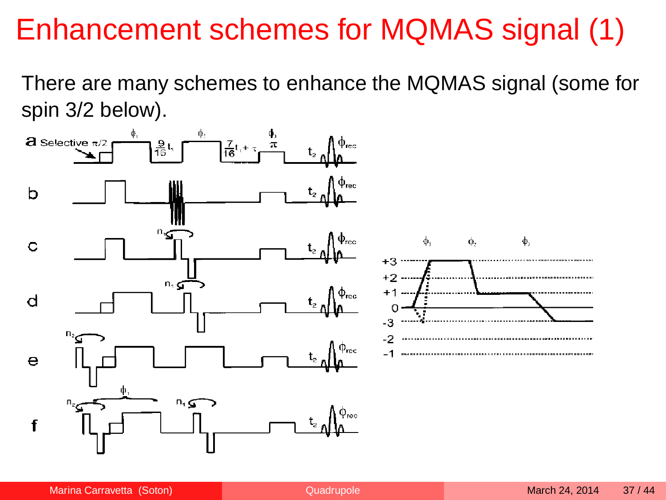### Enhancement schemes for MQMAS signal (1)

There are many schemes to enhance the MQMAS signal (some for spin 3/2 below).

![](_page_36_Figure_2.jpeg)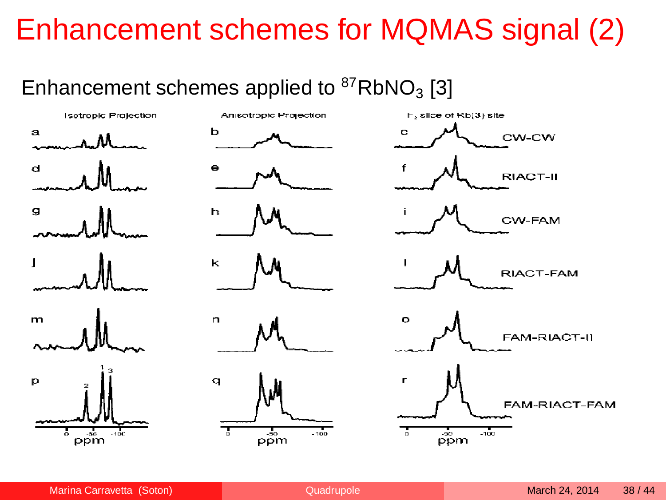### Enhancement schemes for MQMAS signal (2)

#### Enhancement schemes applied to  ${}^{87}RbNO_3$  [\[3\]](#page-41-2)

![](_page_37_Figure_2.jpeg)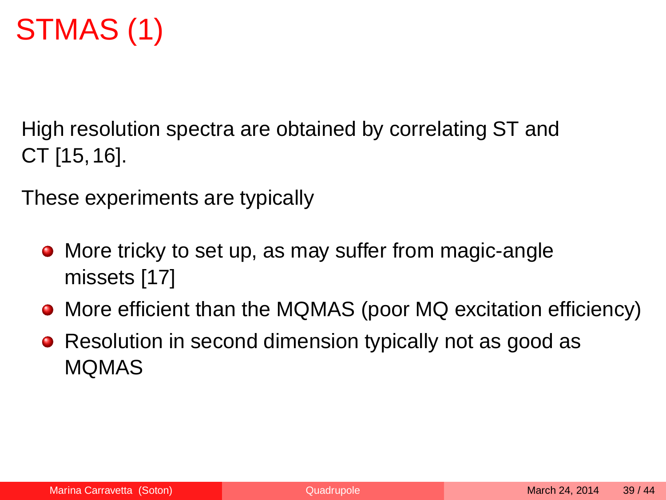### STMAS (1)

High resolution spectra are obtained by correlating ST and CT [\[15,](#page-42-6)[16\]](#page-42-7).

These experiments are typically

- More tricky to set up, as may suffer from magic-angle missets [\[17\]](#page-43-1)
- More efficient than the MQMAS (poor MQ excitation efficiency)
- <span id="page-38-0"></span>• Resolution in second dimension typically not as good as MQMAS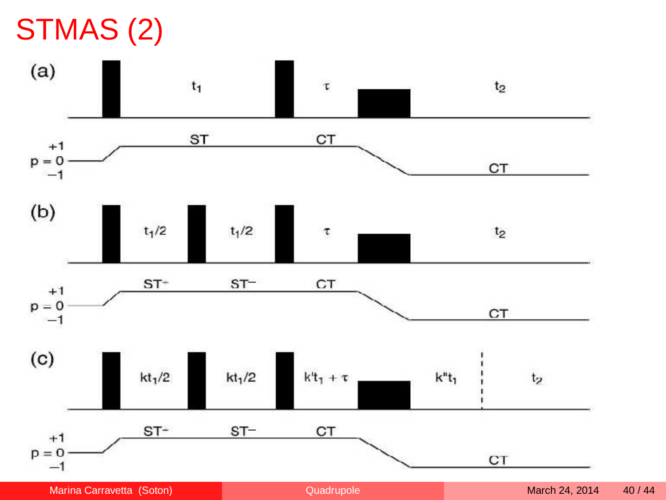## STMAS (2)

![](_page_39_Figure_1.jpeg)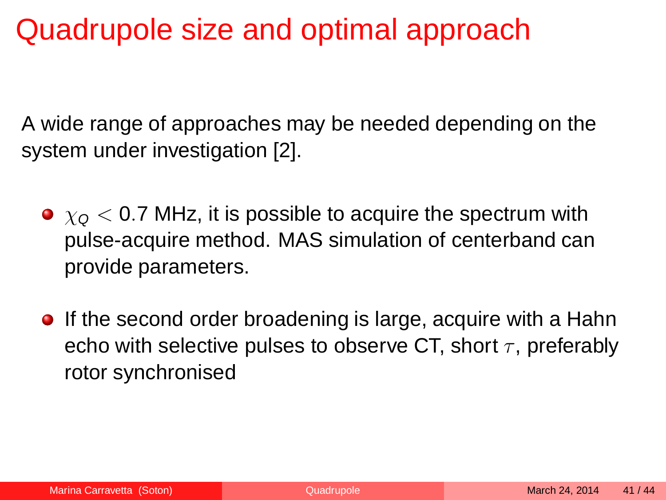### Quadrupole size and optimal approach

A wide range of approaches may be needed depending on the system under investigation [\[2\]](#page-41-1).

- $\bullet$   $\chi$ <sup> $\circ$ </sup> < 0.7 MHz, it is possible to acquire the spectrum with pulse-acquire method. MAS simulation of centerband can provide parameters.
- **•** If the second order broadening is large, acquire with a Hahn echo with selective pulses to observe CT, short  $\tau$ , preferably rotor synchronised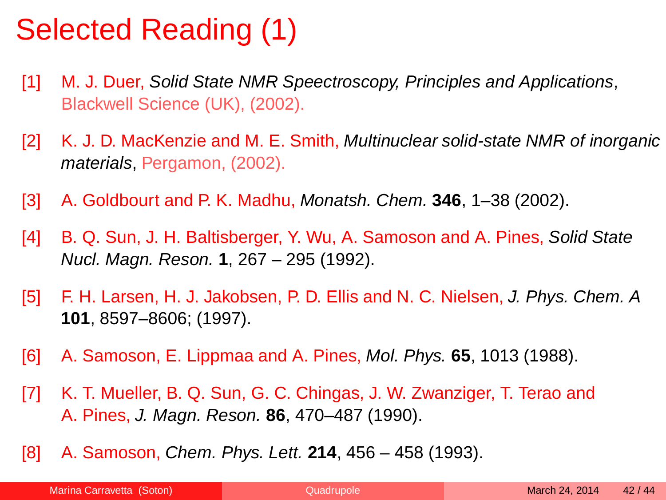### Selected Reading (1)

- <span id="page-41-0"></span>[1] M. J. Duer, Solid State NMR Speectroscopy, Principles and Applications, Blackwell Science (UK), (2002).
- <span id="page-41-1"></span>[2] K. J. D. MacKenzie and M. E. Smith, Multinuclear solid-state NMR of inorganic materials, Pergamon, (2002).
- <span id="page-41-2"></span>[3] A. Goldbourt and P. K. Madhu, Monatsh. Chem. **346**, 1–38 (2002).
- <span id="page-41-3"></span>[4] B. Q. Sun, J. H. Baltisberger, Y. Wu, A. Samoson and A. Pines, Solid State Nucl. Magn. Reson. **1**, 267 – 295 (1992).
- <span id="page-41-4"></span>[5] F. H. Larsen, H. J. Jakobsen, P. D. Ellis and N. C. Nielsen, J. Phys. Chem. A **101**, 8597–8606; (1997).
- <span id="page-41-5"></span>[6] A. Samoson, E. Lippmaa and A. Pines, Mol. Phys. **65**, 1013 (1988).
- <span id="page-41-6"></span>[7] K. T. Mueller, B. Q. Sun, G. C. Chingas, J. W. Zwanziger, T. Terao and A. Pines, J. Magn. Reson. **86**, 470–487 (1990).
- <span id="page-41-7"></span>[8] A. Samoson, Chem. Phys. Lett. **214**, 456 – 458 (1993).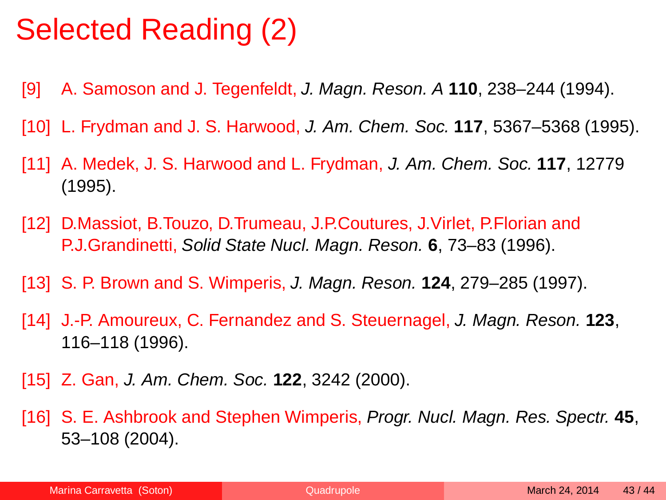### Selected Reading (2)

- <span id="page-42-0"></span>[9] A. Samoson and J. Tegenfeldt, J. Magn. Reson. A **110**, 238–244 (1994).
- <span id="page-42-1"></span>[10] L. Frydman and J. S. Harwood, J. Am. Chem. Soc. **117**, 5367–5368 (1995).
- <span id="page-42-2"></span>[11] A. Medek, J. S. Harwood and L. Frydman, J. Am. Chem. Soc. **117**, 12779 (1995).
- <span id="page-42-3"></span>[12] D.Massiot, B.Touzo, D.Trumeau, J.P.Coutures, J.Virlet, P.Florian and P.J.Grandinetti, Solid State Nucl. Magn. Reson. **6**, 73–83 (1996).
- <span id="page-42-4"></span>[13] S. P. Brown and S. Wimperis, J. Magn. Reson. **124**, 279–285 (1997).
- <span id="page-42-5"></span>[14] J.-P. Amoureux, C. Fernandez and S. Steuernagel, J. Magn. Reson. **123**, 116–118 (1996).
- <span id="page-42-6"></span>[15] Z. Gan, J. Am. Chem. Soc. **122**, 3242 (2000).
- <span id="page-42-7"></span>[16] S. E. Ashbrook and Stephen Wimperis, Progr. Nucl. Magn. Res. Spectr. **45**, 53–108 (2004).